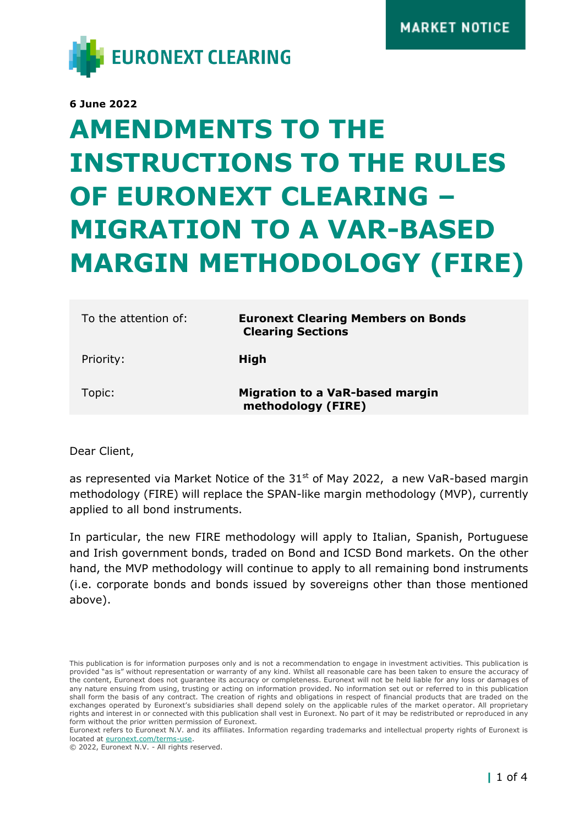

**6 June 2022**

# **AMENDMENTS TO THE INSTRUCTIONS TO THE RULES OF EURONEXT CLEARING – MIGRATION TO A VAR-BASED MARGIN METHODOLOGY (FIRE)**

| To the attention of: | <b>Euronext Clearing Members on Bonds</b><br><b>Clearing Sections</b> |
|----------------------|-----------------------------------------------------------------------|
| Priority:            | High                                                                  |
| Topic:               | <b>Migration to a VaR-based margin</b><br>methodology (FIRE)          |

Dear Client,

as represented via Market Notice of the  $31<sup>st</sup>$  of May 2022, a new VaR-based margin methodology (FIRE) will replace the SPAN-like margin methodology (MVP), currently applied to all bond instruments.

In particular, the new FIRE methodology will apply to Italian, Spanish, Portuguese and Irish government bonds, traded on Bond and ICSD Bond markets. On the other hand, the MVP methodology will continue to apply to all remaining bond instruments (i.e. corporate bonds and bonds issued by sovereigns other than those mentioned above).

Euronext refers to Euronext N.V. and its affiliates. Information regarding trademarks and intellectual property rights of Euronext is located at [euronext.com/terms-use.](https://www.euronext.com/terms-use)

© 2022, Euronext N.V. - All rights reserved.

This publication is for information purposes only and is not a recommendation to engage in investment activities. This publication is provided "as is" without representation or warranty of any kind. Whilst all reasonable care has been taken to ensure the accuracy of the content, Euronext does not guarantee its accuracy or completeness. Euronext will not be held liable for any loss or damages of any nature ensuing from using, trusting or acting on information provided. No information set out or referred to in this publication shall form the basis of any contract. The creation of rights and obligations in respect of financial products that are traded on the exchanges operated by Euronext's subsidiaries shall depend solely on the applicable rules of the market operator. All proprietary rights and interest in or connected with this publication shall vest in Euronext. No part of it may be redistributed or reproduced in any form without the prior written permission of Euronext.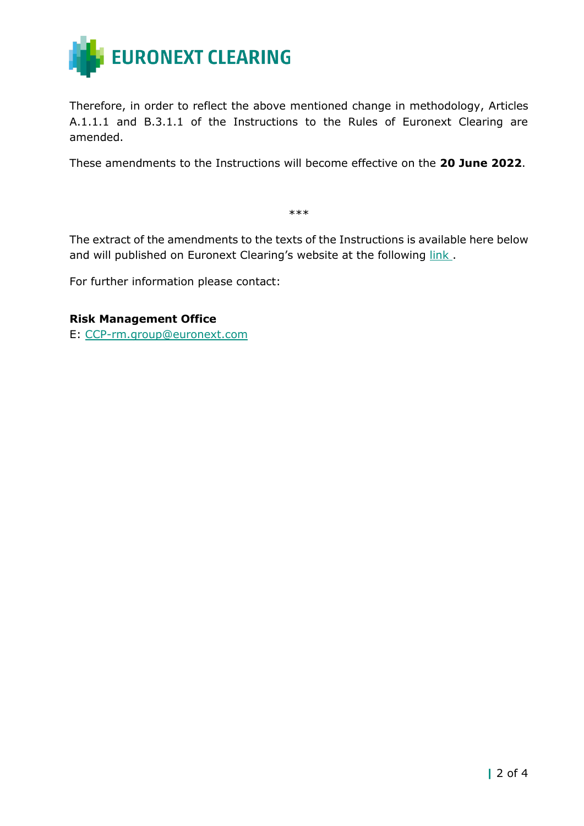

Therefore, in order to reflect the above mentioned change in methodology, Articles A.1.1.1 and B.3.1.1 of the Instructions to the Rules of Euronext Clearing are amended.

These amendments to the Instructions will become effective on the **20 June 2022**.

\*\*\*

The extract of the amendments to the texts of the Instructions is available here below and will published on Euronext Clearing's website at the following link.

For further information please contact:

#### **Risk Management Office**

E: [CCP-rm.group@euronext.com](mailto:CCP-rm.group@euronext.com)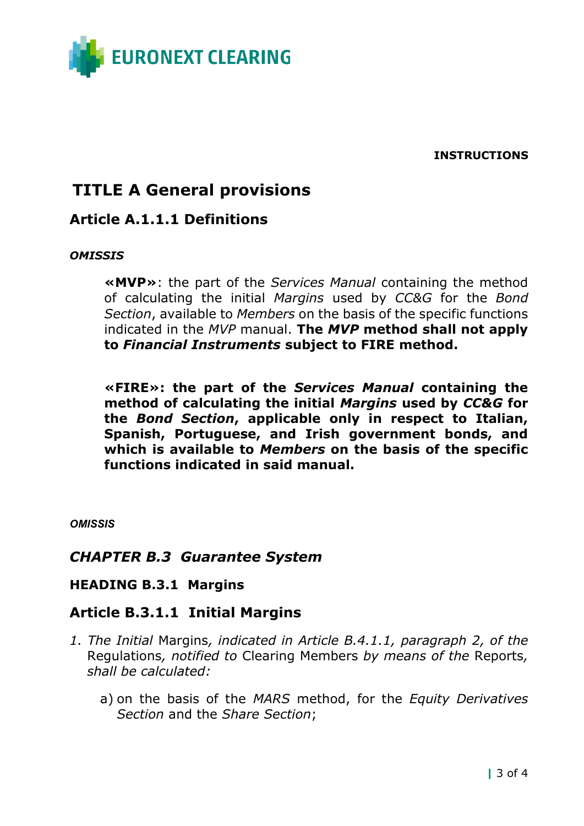

**INSTRUCTIONS**

# **TITLE A General provisions**

# **Article A.1.1.1 Definitions**

#### *OMISSIS*

**«MVP»**: the part of the *Services Manual* containing the method of calculating the initial *Margins* used by *CC&G* for the *Bond Section*, available to *Members* on the basis of the specific functions indicated in the *MVP* manual. **The** *MVP* **method shall not apply to** *Financial Instruments* **subject to FIRE method.**

**«FIRE»: the part of the** *Services Manual* **containing the method of calculating the initial** *Margins* **used by** *CC&G* **for the** *Bond Section***, applicable only in respect to Italian, Spanish, Portuguese, and Irish government bonds, and which is available to** *Members* **on the basis of the specific functions indicated in said manual.** 

*OMISSIS*

## *CHAPTER B.3 Guarantee System*

#### **HEADING B.3.1 Margins**

## **Article B.3.1.1 Initial Margins**

- *1. The Initial* Margins*, indicated in Article B.4.1.1, paragraph 2, of the* Regulations*, notified to* Clearing Members *by means of the* Reports*, shall be calculated:*
	- a) on the basis of the *MARS* method, for the *Equity Derivatives Section* and the *Share Section*;